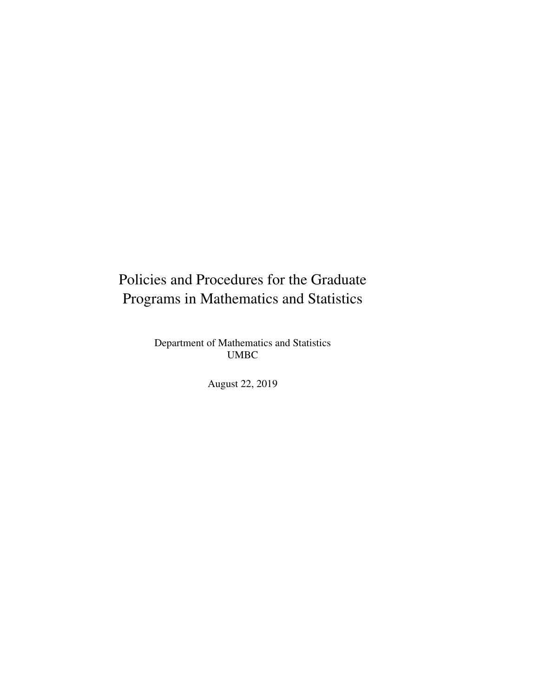## Policies and Procedures for the Graduate Programs in Mathematics and Statistics

Department of Mathematics and Statistics UMBC

August 22, 2019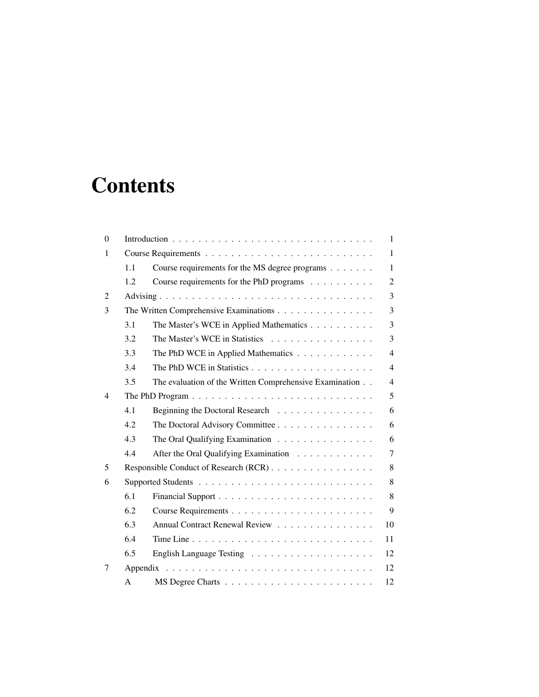# **Contents**

| $\theta$       | 1                                      |                                                         |                |
|----------------|----------------------------------------|---------------------------------------------------------|----------------|
| 1              |                                        |                                                         | 1              |
|                | 1.1                                    | Course requirements for the MS degree programs          | 1              |
|                | 1.2                                    | Course requirements for the PhD programs                | $\overline{2}$ |
| $\overline{2}$ |                                        |                                                         | 3              |
| 3              | The Written Comprehensive Examinations |                                                         | 3              |
|                | 3.1                                    | The Master's WCE in Applied Mathematics                 | 3              |
|                | 3.2                                    | The Master's WCE in Statistics                          | 3              |
|                | 3.3                                    | The PhD WCE in Applied Mathematics                      | 4              |
|                | 3.4                                    |                                                         | 4              |
|                | 3.5                                    | The evaluation of the Written Comprehensive Examination | 4              |
| 4              |                                        |                                                         | 5              |
|                | 4.1                                    | Beginning the Doctoral Research                         | 6              |
|                | 4.2                                    | The Doctoral Advisory Committee                         | 6              |
|                | 4.3                                    | The Oral Qualifying Examination                         | 6              |
|                | 4.4                                    | After the Oral Qualifying Examination                   | $\tau$         |
| 5              | Responsible Conduct of Research (RCR)  |                                                         | 8              |
| 6              |                                        |                                                         | 8              |
|                | 6.1                                    |                                                         | 8              |
|                | 6.2                                    |                                                         | 9              |
|                | 6.3                                    | Annual Contract Renewal Review                          | 10             |
|                | 6.4                                    |                                                         | 11             |
|                | 6.5                                    |                                                         | 12             |
| 7              | 12                                     |                                                         |                |
|                | A                                      |                                                         | 12             |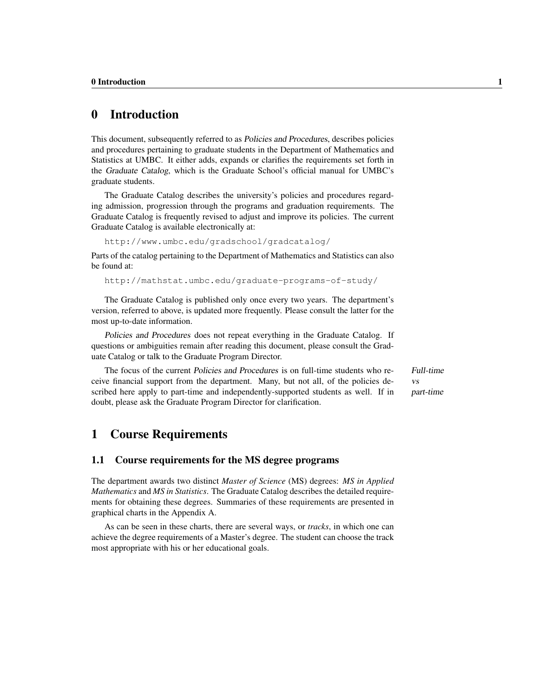## 0 Introduction

This document, subsequently referred to as Policies and Procedures, describes policies and procedures pertaining to graduate students in the Department of Mathematics and Statistics at UMBC. It either adds, expands or clarifies the requirements set forth in the Graduate Catalog, which is the Graduate School's official manual for UMBC's graduate students.

The Graduate Catalog describes the university's policies and procedures regarding admission, progression through the programs and graduation requirements. The Graduate Catalog is frequently revised to adjust and improve its policies. The current Graduate Catalog is available electronically at:

http://www.umbc.edu/gradschool/gradcatalog/

Parts of the catalog pertaining to the Department of Mathematics and Statistics can also be found at:

http://mathstat.umbc.edu/graduate-programs-of-study/

The Graduate Catalog is published only once every two years. The department's version, referred to above, is updated more frequently. Please consult the latter for the most up-to-date information.

Policies and Procedures does not repeat everything in the Graduate Catalog. If questions or ambiguities remain after reading this document, please consult the Graduate Catalog or talk to the Graduate Program Director.

The focus of the current Policies and Procedures is on full-time students who re- Full-time ceive financial support from the department. Many, but not all, of the policies described here apply to part-time and independently-supported students as well. If in doubt, please ask the Graduate Program Director for clarification.

## 1 Course Requirements

#### 1.1 Course requirements for the MS degree programs

The department awards two distinct *Master of Science* (MS) degrees: *MS in Applied Mathematics* and *MS in Statistics*. The Graduate Catalog describes the detailed requirements for obtaining these degrees. Summaries of these requirements are presented in graphical charts in the Appendix A.

As can be seen in these charts, there are several ways, or *tracks*, in which one can achieve the degree requirements of a Master's degree. The student can choose the track most appropriate with his or her educational goals.

vs part-time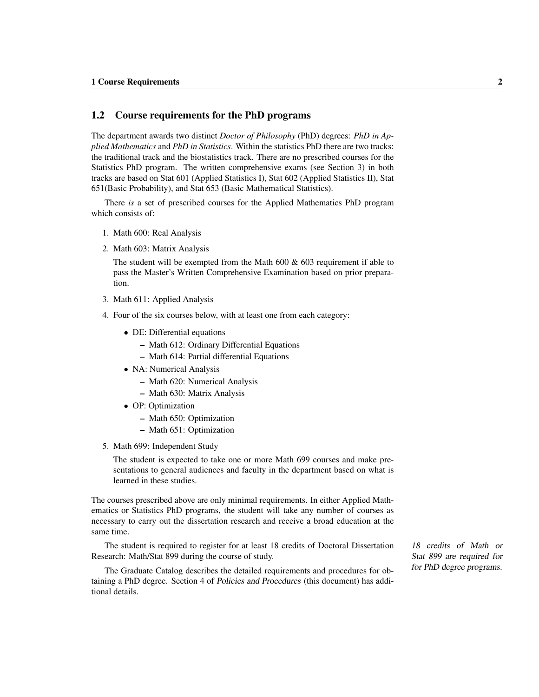#### 1.2 Course requirements for the PhD programs

The department awards two distinct *Doctor of Philosophy* (PhD) degrees: *PhD in Applied Mathematics* and *PhD in Statistics*. Within the statistics PhD there are two tracks: the traditional track and the biostatistics track. There are no prescribed courses for the Statistics PhD program. The written comprehensive exams (see Section 3) in both tracks are based on Stat 601 (Applied Statistics I), Stat 602 (Applied Statistics II), Stat 651(Basic Probability), and Stat 653 (Basic Mathematical Statistics).

There *is* a set of prescribed courses for the Applied Mathematics PhD program which consists of:

- 1. Math 600: Real Analysis
- 2. Math 603: Matrix Analysis

The student will be exempted from the Math 600 & 603 requirement if able to pass the Master's Written Comprehensive Examination based on prior preparation.

- 3. Math 611: Applied Analysis
- 4. Four of the six courses below, with at least one from each category:
	- DE: Differential equations
		- Math 612: Ordinary Differential Equations
		- Math 614: Partial differential Equations
	- NA: Numerical Analysis
		- Math 620: Numerical Analysis
		- Math 630: Matrix Analysis
	- OP: Optimization
		- Math 650: Optimization
		- Math 651: Optimization
- 5. Math 699: Independent Study

The student is expected to take one or more Math 699 courses and make presentations to general audiences and faculty in the department based on what is learned in these studies.

The courses prescribed above are only minimal requirements. In either Applied Mathematics or Statistics PhD programs, the student will take any number of courses as necessary to carry out the dissertation research and receive a broad education at the same time.

The student is required to register for at least 18 credits of Doctoral Dissertation 18 credits of Math or Research: Math/Stat 899 during the course of study.

The Graduate Catalog describes the detailed requirements and procedures for obtaining a PhD degree. Section 4 of Policies and Procedures (this document) has additional details.

Stat 899 are required for for PhD degree programs.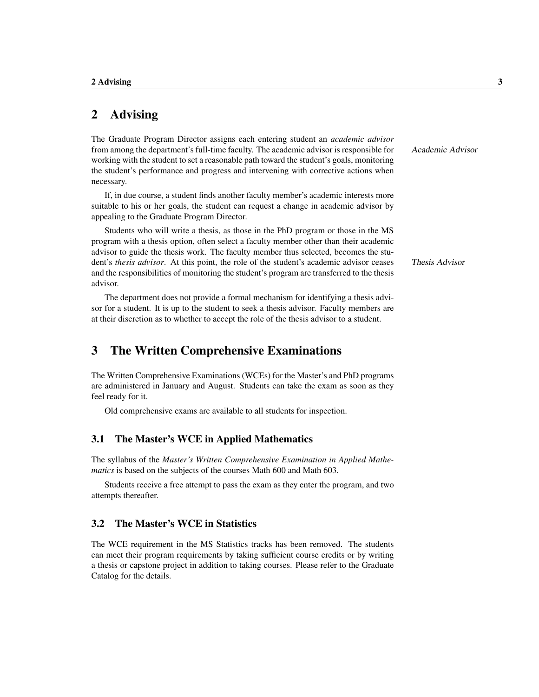## 2 Advising

The Graduate Program Director assigns each entering student an *academic advisor* from among the department's full-time faculty. The academic advisor is responsible for Academic Advisor working with the student to set a reasonable path toward the student's goals, monitoring the student's performance and progress and intervening with corrective actions when necessary.

If, in due course, a student finds another faculty member's academic interests more suitable to his or her goals, the student can request a change in academic advisor by appealing to the Graduate Program Director.

Students who will write a thesis, as those in the PhD program or those in the MS program with a thesis option, often select a faculty member other than their academic advisor to guide the thesis work. The faculty member thus selected, becomes the student's *thesis advisor*. At this point, the role of the student's academic advisor ceases Thesis Advisor and the responsibilities of monitoring the student's program are transferred to the thesis advisor.

The department does not provide a formal mechanism for identifying a thesis advisor for a student. It is up to the student to seek a thesis advisor. Faculty members are at their discretion as to whether to accept the role of the thesis advisor to a student.

## 3 The Written Comprehensive Examinations

The Written Comprehensive Examinations (WCEs) for the Master's and PhD programs are administered in January and August. Students can take the exam as soon as they feel ready for it.

Old comprehensive exams are available to all students for inspection.

#### 3.1 The Master's WCE in Applied Mathematics

The syllabus of the *Master's Written Comprehensive Examination in Applied Mathematics* is based on the subjects of the courses Math 600 and Math 603.

Students receive a free attempt to pass the exam as they enter the program, and two attempts thereafter.

#### 3.2 The Master's WCE in Statistics

The WCE requirement in the MS Statistics tracks has been removed. The students can meet their program requirements by taking sufficient course credits or by writing a thesis or capstone project in addition to taking courses. Please refer to the Graduate Catalog for the details.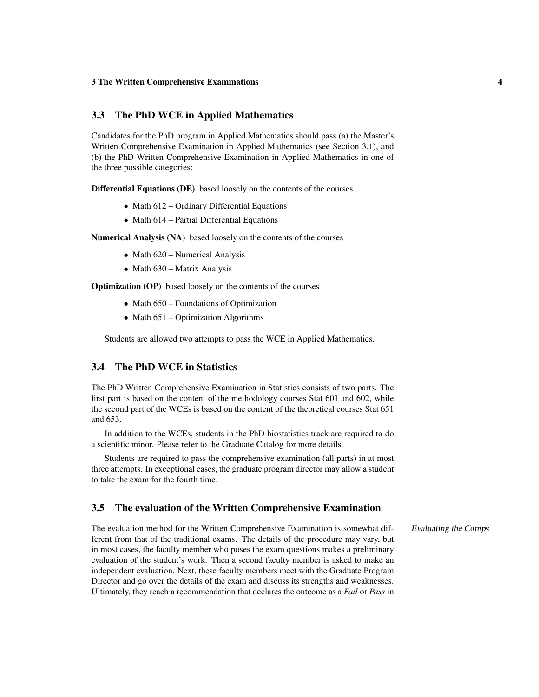#### 3.3 The PhD WCE in Applied Mathematics

Candidates for the PhD program in Applied Mathematics should pass (a) the Master's Written Comprehensive Examination in Applied Mathematics (see Section 3.1), and (b) the PhD Written Comprehensive Examination in Applied Mathematics in one of the three possible categories:

Differential Equations (DE) based loosely on the contents of the courses

- Math 612 Ordinary Differential Equations
- Math 614 Partial Differential Equations

Numerical Analysis (NA) based loosely on the contents of the courses

- Math 620 Numerical Analysis
- Math 630 Matrix Analysis

Optimization (OP) based loosely on the contents of the courses

- Math 650 Foundations of Optimization
- Math 651 Optimization Algorithms

Students are allowed two attempts to pass the WCE in Applied Mathematics.

#### 3.4 The PhD WCE in Statistics

The PhD Written Comprehensive Examination in Statistics consists of two parts. The first part is based on the content of the methodology courses Stat 601 and 602, while the second part of the WCEs is based on the content of the theoretical courses Stat 651 and 653.

In addition to the WCEs, students in the PhD biostatistics track are required to do a scientific minor. Please refer to the Graduate Catalog for more details.

Students are required to pass the comprehensive examination (all parts) in at most three attempts. In exceptional cases, the graduate program director may allow a student to take the exam for the fourth time.

#### 3.5 The evaluation of the Written Comprehensive Examination

The evaluation method for the Written Comprehensive Examination is somewhat dif- Evaluating the Comps ferent from that of the traditional exams. The details of the procedure may vary, but in most cases, the faculty member who poses the exam questions makes a preliminary evaluation of the student's work. Then a second faculty member is asked to make an independent evaluation. Next, these faculty members meet with the Graduate Program Director and go over the details of the exam and discuss its strengths and weaknesses. Ultimately, they reach a recommendation that declares the outcome as a *Fail* or *Pass* in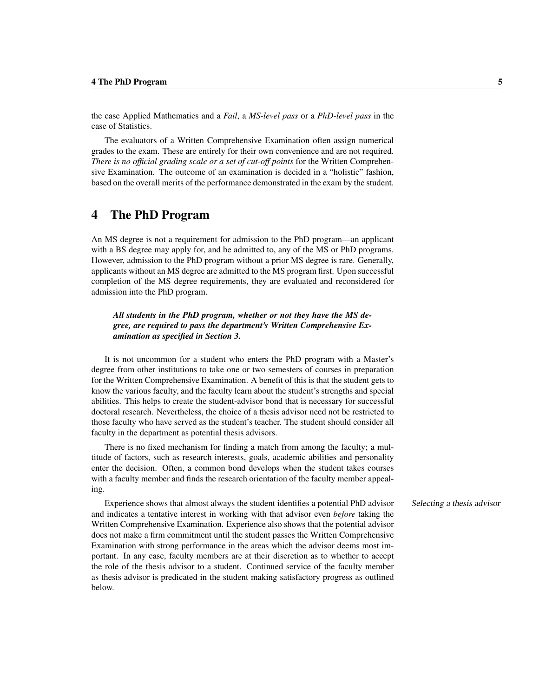the case Applied Mathematics and a *Fail*, a *MS-level pass* or a *PhD-level pass* in the case of Statistics.

The evaluators of a Written Comprehensive Examination often assign numerical grades to the exam. These are entirely for their own convenience and are not required. *There is no official grading scale or a set of cut-off points* for the Written Comprehensive Examination. The outcome of an examination is decided in a "holistic" fashion, based on the overall merits of the performance demonstrated in the exam by the student.

## 4 The PhD Program

An MS degree is not a requirement for admission to the PhD program—an applicant with a BS degree may apply for, and be admitted to, any of the MS or PhD programs. However, admission to the PhD program without a prior MS degree is rare. Generally, applicants without an MS degree are admitted to the MS program first. Upon successful completion of the MS degree requirements, they are evaluated and reconsidered for admission into the PhD program.

*All students in the PhD program, whether or not they have the MS degree, are required to pass the department's Written Comprehensive Examination as specified in Section 3.*

It is not uncommon for a student who enters the PhD program with a Master's degree from other institutions to take one or two semesters of courses in preparation for the Written Comprehensive Examination. A benefit of this is that the student gets to know the various faculty, and the faculty learn about the student's strengths and special abilities. This helps to create the student-advisor bond that is necessary for successful doctoral research. Nevertheless, the choice of a thesis advisor need not be restricted to those faculty who have served as the student's teacher. The student should consider all faculty in the department as potential thesis advisors.

There is no fixed mechanism for finding a match from among the faculty; a multitude of factors, such as research interests, goals, academic abilities and personality enter the decision. Often, a common bond develops when the student takes courses with a faculty member and finds the research orientation of the faculty member appealing.

Experience shows that almost always the student identifies a potential PhD advisor Selecting a thesis advisor and indicates a tentative interest in working with that advisor even *before* taking the Written Comprehensive Examination. Experience also shows that the potential advisor does not make a firm commitment until the student passes the Written Comprehensive Examination with strong performance in the areas which the advisor deems most important. In any case, faculty members are at their discretion as to whether to accept the role of the thesis advisor to a student. Continued service of the faculty member as thesis advisor is predicated in the student making satisfactory progress as outlined below.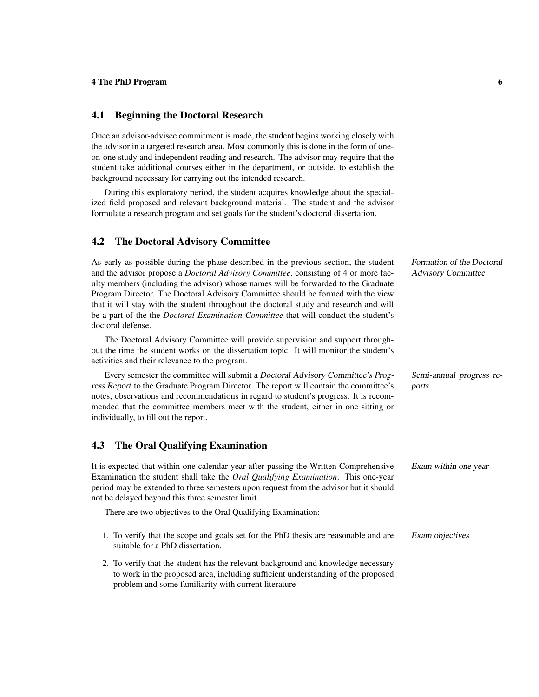#### 4.1 Beginning the Doctoral Research

Once an advisor-advisee commitment is made, the student begins working closely with the advisor in a targeted research area. Most commonly this is done in the form of oneon-one study and independent reading and research. The advisor may require that the student take additional courses either in the department, or outside, to establish the background necessary for carrying out the intended research.

During this exploratory period, the student acquires knowledge about the specialized field proposed and relevant background material. The student and the advisor formulate a research program and set goals for the student's doctoral dissertation.

#### 4.2 The Doctoral Advisory Committee

As early as possible during the phase described in the previous section, the student Formation of the Doctoral and the advisor propose a *Doctoral Advisory Committee*, consisting of 4 or more fac- Advisory Committee ulty members (including the advisor) whose names will be forwarded to the Graduate Program Director. The Doctoral Advisory Committee should be formed with the view that it will stay with the student throughout the doctoral study and research and will be a part of the the *Doctoral Examination Committee* that will conduct the student's doctoral defense.

The Doctoral Advisory Committee will provide supervision and support throughout the time the student works on the dissertation topic. It will monitor the student's activities and their relevance to the program.

Every semester the committee will submit a Doctoral Advisory Committee's Prog- Semi-annual progress reress Report to the Graduate Program Director. The report will contain the committee's ports notes, observations and recommendations in regard to student's progress. It is recommended that the committee members meet with the student, either in one sitting or individually, to fill out the report.

#### 4.3 The Oral Qualifying Examination

It is expected that within one calendar year after passing the Written Comprehensive Exam within one year Examination the student shall take the *Oral Qualifying Examination*. This one-year period may be extended to three semesters upon request from the advisor but it should not be delayed beyond this three semester limit.

There are two objectives to the Oral Qualifying Examination:

- 1. To verify that the scope and goals set for the PhD thesis are reasonable and are Exam objectives suitable for a PhD dissertation.
- 2. To verify that the student has the relevant background and knowledge necessary to work in the proposed area, including sufficient understanding of the proposed problem and some familiarity with current literature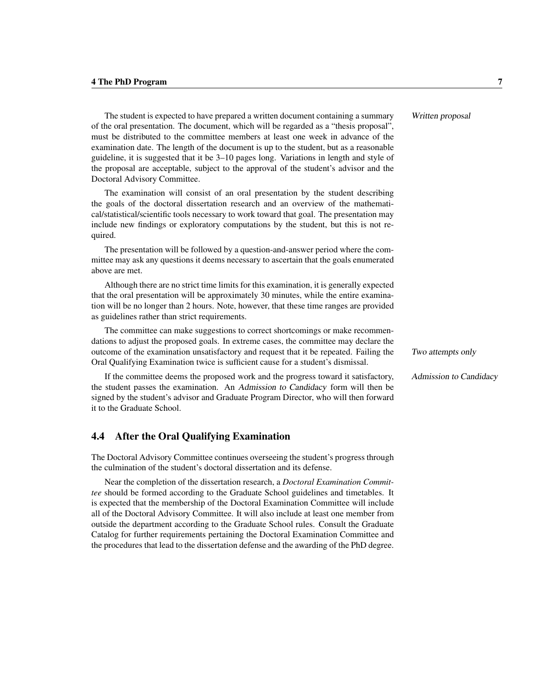The student is expected to have prepared a written document containing a summary Written proposal of the oral presentation. The document, which will be regarded as a "thesis proposal", must be distributed to the committee members at least one week in advance of the examination date. The length of the document is up to the student, but as a reasonable guideline, it is suggested that it be 3–10 pages long. Variations in length and style of the proposal are acceptable, subject to the approval of the student's advisor and the Doctoral Advisory Committee.

The examination will consist of an oral presentation by the student describing the goals of the doctoral dissertation research and an overview of the mathematical/statistical/scientific tools necessary to work toward that goal. The presentation may include new findings or exploratory computations by the student, but this is not required.

The presentation will be followed by a question-and-answer period where the committee may ask any questions it deems necessary to ascertain that the goals enumerated above are met.

Although there are no strict time limits for this examination, it is generally expected that the oral presentation will be approximately 30 minutes, while the entire examination will be no longer than 2 hours. Note, however, that these time ranges are provided as guidelines rather than strict requirements.

The committee can make suggestions to correct shortcomings or make recommendations to adjust the proposed goals. In extreme cases, the committee may declare the outcome of the examination unsatisfactory and request that it be repeated. Failing the Two attempts only Oral Qualifying Examination twice is sufficient cause for a student's dismissal.

If the committee deems the proposed work and the progress toward it satisfactory, Admission to Candidacy the student passes the examination. An Admission to Candidacy form will then be signed by the student's advisor and Graduate Program Director, who will then forward it to the Graduate School.

#### 4.4 After the Oral Qualifying Examination

The Doctoral Advisory Committee continues overseeing the student's progress through the culmination of the student's doctoral dissertation and its defense.

Near the completion of the dissertation research, a *Doctoral Examination Committee* should be formed according to the Graduate School guidelines and timetables. It is expected that the membership of the Doctoral Examination Committee will include all of the Doctoral Advisory Committee. It will also include at least one member from outside the department according to the Graduate School rules. Consult the Graduate Catalog for further requirements pertaining the Doctoral Examination Committee and the procedures that lead to the dissertation defense and the awarding of the PhD degree.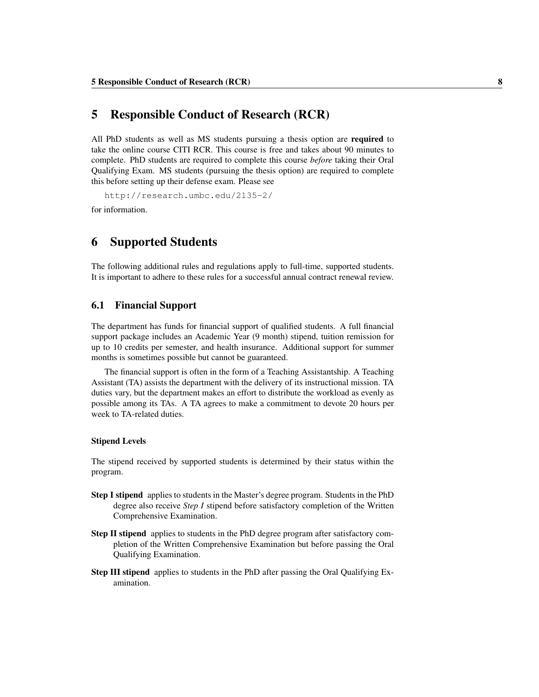## 5 Responsible Conduct of Research (RCR)

All PhD students as well as MS students pursuing a thesis option are **required** to take the online course CITI RCR. This course is free and takes about 90 minutes to complete. PhD students are required to complete this course *before* taking their Oral Qualifying Exam. MS students (pursuing the thesis option) are required to complete this before setting up their defense exam. Please see

http://research.umbc.edu/2135-2/

for information.

## 6 Supported Students

The following additional rules and regulations apply to full-time, supported students. It is important to adhere to these rules for a successful annual contract renewal review.

#### 6.1 Financial Support

The department has funds for financial support of qualified students. A full financial support package includes an Academic Year (9 month) stipend, tuition remission for up to 10 credits per semester, and health insurance. Additional support for summer months is sometimes possible but cannot be guaranteed.

The financial support is often in the form of a Teaching Assistantship. A Teaching Assistant (TA) assists the department with the delivery of its instructional mission. TA duties vary, but the department makes an effort to distribute the workload as evenly as possible among its TAs. A TA agrees to make a commitment to devote 20 hours per week to TA-related duties.

#### Stipend Levels

The stipend received by supported students is determined by their status within the program.

- Step I stipend applies to students in the Master's degree program. Students in the PhD degree also receive *Step I* stipend before satisfactory completion of the Written Comprehensive Examination.
- Step II stipend applies to students in the PhD degree program after satisfactory completion of the Written Comprehensive Examination but before passing the Oral Qualifying Examination.
- Step III stipend applies to students in the PhD after passing the Oral Qualifying Examination.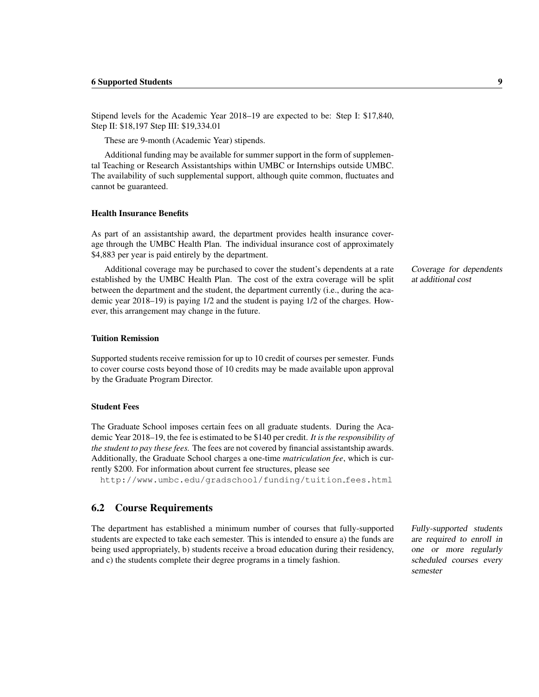Stipend levels for the Academic Year 2018–19 are expected to be: Step I: \$17,840, Step II: \$18,197 Step III: \$19,334.01

These are 9-month (Academic Year) stipends.

Additional funding may be available for summer support in the form of supplemental Teaching or Research Assistantships within UMBC or Internships outside UMBC. The availability of such supplemental support, although quite common, fluctuates and cannot be guaranteed.

#### Health Insurance Benefits

As part of an assistantship award, the department provides health insurance coverage through the UMBC Health Plan. The individual insurance cost of approximately \$4,883 per year is paid entirely by the department.

Additional coverage may be purchased to cover the student's dependents at a rate Coverage for dependents established by the UMBC Health Plan. The cost of the extra coverage will be split at additional cost between the department and the student, the department currently (i.e., during the academic year 2018–19) is paying 1/2 and the student is paying 1/2 of the charges. However, this arrangement may change in the future.

#### Tuition Remission

Supported students receive remission for up to 10 credit of courses per semester. Funds to cover course costs beyond those of 10 credits may be made available upon approval by the Graduate Program Director.

#### Student Fees

The Graduate School imposes certain fees on all graduate students. During the Academic Year 2018–19, the fee is estimated to be \$140 per credit. *It is the responsibility of the student to pay these fees.* The fees are not covered by financial assistantship awards. Additionally, the Graduate School charges a one-time *matriculation fee*, which is currently \$200. For information about current fee structures, please see

http://www.umbc.edu/gradschool/funding/tuition fees.html

#### 6.2 Course Requirements

The department has established a minimum number of courses that fully-supported Fully-supported students students are expected to take each semester. This is intended to ensure a) the funds are being used appropriately, b) students receive a broad education during their residency, and c) the students complete their degree programs in a timely fashion.

are required to enroll in one or more regularly scheduled courses every semester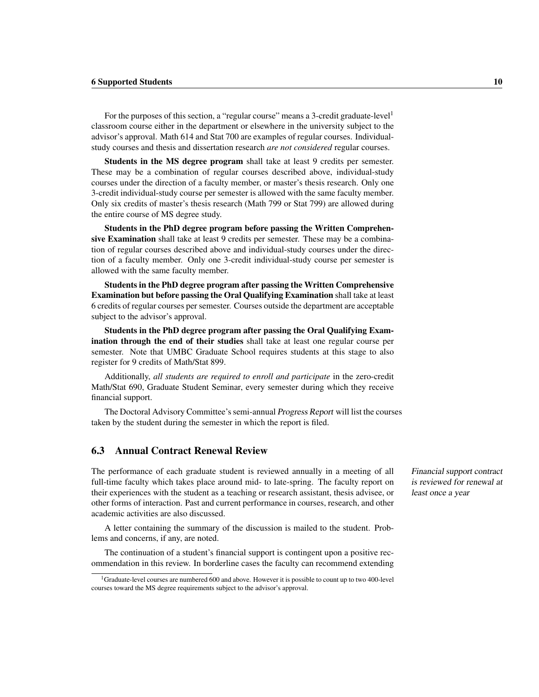For the purposes of this section, a "regular course" means a 3-credit graduate-level<sup>1</sup> classroom course either in the department or elsewhere in the university subject to the advisor's approval. Math 614 and Stat 700 are examples of regular courses. Individualstudy courses and thesis and dissertation research *are not considered* regular courses.

Students in the MS degree program shall take at least 9 credits per semester. These may be a combination of regular courses described above, individual-study courses under the direction of a faculty member, or master's thesis research. Only one 3-credit individual-study course per semester is allowed with the same faculty member. Only six credits of master's thesis research (Math 799 or Stat 799) are allowed during the entire course of MS degree study.

Students in the PhD degree program before passing the Written Comprehensive Examination shall take at least 9 credits per semester. These may be a combination of regular courses described above and individual-study courses under the direction of a faculty member. Only one 3-credit individual-study course per semester is allowed with the same faculty member.

Students in the PhD degree program after passing the Written Comprehensive Examination but before passing the Oral Qualifying Examination shall take at least 6 credits of regular courses per semester. Courses outside the department are acceptable subject to the advisor's approval.

Students in the PhD degree program after passing the Oral Qualifying Examination through the end of their studies shall take at least one regular course per semester. Note that UMBC Graduate School requires students at this stage to also register for 9 credits of Math/Stat 899.

Additionally, *all students are required to enroll and participate* in the zero-credit Math/Stat 690, Graduate Student Seminar, every semester during which they receive financial support.

The Doctoral Advisory Committee's semi-annual Progress Report will list the courses taken by the student during the semester in which the report is filed.

#### 6.3 Annual Contract Renewal Review

The performance of each graduate student is reviewed annually in a meeting of all Financial support contract full-time faculty which takes place around mid- to late-spring. The faculty report on their experiences with the student as a teaching or research assistant, thesis advisee, or other forms of interaction. Past and current performance in courses, research, and other academic activities are also discussed.

A letter containing the summary of the discussion is mailed to the student. Problems and concerns, if any, are noted.

The continuation of a student's financial support is contingent upon a positive recommendation in this review. In borderline cases the faculty can recommend extending is reviewed for renewal at least once a year

<sup>1</sup>Graduate-level courses are numbered 600 and above. However it is possible to count up to two 400-level courses toward the MS degree requirements subject to the advisor's approval.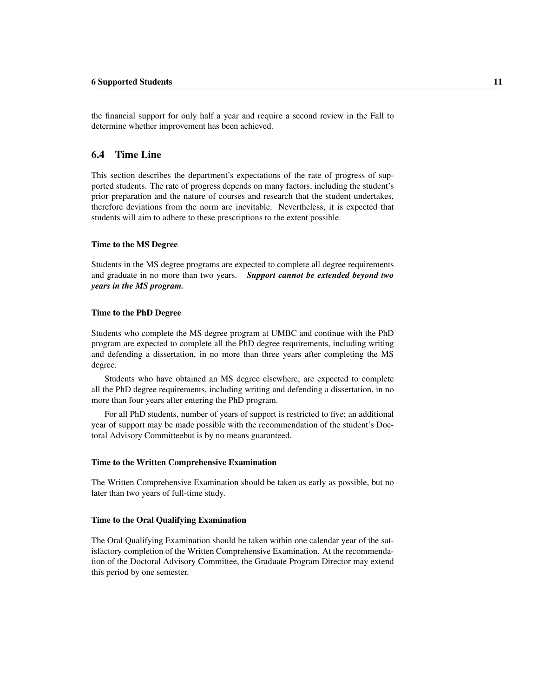the financial support for only half a year and require a second review in the Fall to determine whether improvement has been achieved.

#### 6.4 Time Line

This section describes the department's expectations of the rate of progress of supported students. The rate of progress depends on many factors, including the student's prior preparation and the nature of courses and research that the student undertakes, therefore deviations from the norm are inevitable. Nevertheless, it is expected that students will aim to adhere to these prescriptions to the extent possible.

#### Time to the MS Degree

Students in the MS degree programs are expected to complete all degree requirements and graduate in no more than two years. *Support cannot be extended beyond two years in the MS program.*

#### Time to the PhD Degree

Students who complete the MS degree program at UMBC and continue with the PhD program are expected to complete all the PhD degree requirements, including writing and defending a dissertation, in no more than three years after completing the MS degree.

Students who have obtained an MS degree elsewhere, are expected to complete all the PhD degree requirements, including writing and defending a dissertation, in no more than four years after entering the PhD program.

For all PhD students, number of years of support is restricted to five; an additional year of support may be made possible with the recommendation of the student's Doctoral Advisory Committeebut is by no means guaranteed.

#### Time to the Written Comprehensive Examination

The Written Comprehensive Examination should be taken as early as possible, but no later than two years of full-time study.

#### Time to the Oral Qualifying Examination

The Oral Qualifying Examination should be taken within one calendar year of the satisfactory completion of the Written Comprehensive Examination. At the recommendation of the Doctoral Advisory Committee, the Graduate Program Director may extend this period by one semester.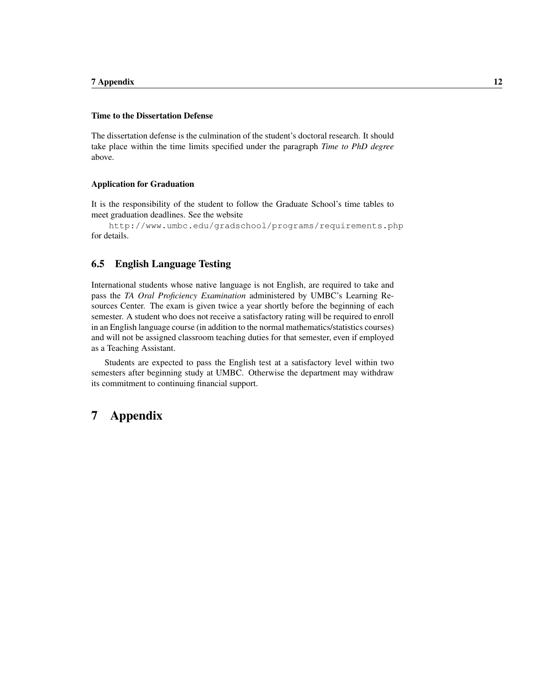#### Time to the Dissertation Defense

The dissertation defense is the culmination of the student's doctoral research. It should take place within the time limits specified under the paragraph *Time to PhD degree* above.

#### Application for Graduation

It is the responsibility of the student to follow the Graduate School's time tables to meet graduation deadlines. See the website

http://www.umbc.edu/gradschool/programs/requirements.php for details.

#### 6.5 English Language Testing

International students whose native language is not English, are required to take and pass the *TA Oral Proficiency Examination* administered by UMBC's Learning Resources Center. The exam is given twice a year shortly before the beginning of each semester. A student who does not receive a satisfactory rating will be required to enroll in an English language course (in addition to the normal mathematics/statistics courses) and will not be assigned classroom teaching duties for that semester, even if employed as a Teaching Assistant.

Students are expected to pass the English test at a satisfactory level within two semesters after beginning study at UMBC. Otherwise the department may withdraw its commitment to continuing financial support.

## 7 Appendix